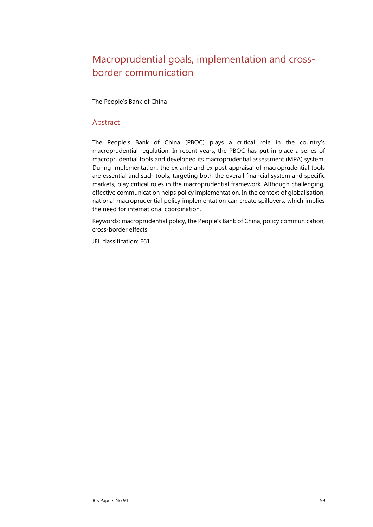# Macroprudential goals, implementation and crossborder communication

The People's Bank of China

#### Abstract

The People's Bank of China (PBOC) plays a critical role in the country's macroprudential regulation. In recent years, the PBOC has put in place a series of macroprudential tools and developed its macroprudential assessment (MPA) system. During implementation, the ex ante and ex post appraisal of macroprudential tools are essential and such tools, targeting both the overall financial system and specific markets, play critical roles in the macroprudential framework. Although challenging, effective communication helps policy implementation. In the context of globalisation, national macroprudential policy implementation can create spillovers, which implies the need for international coordination.

Keywords: macroprudential policy, the People's Bank of China, policy communication, cross-border effects

JEL classification: E61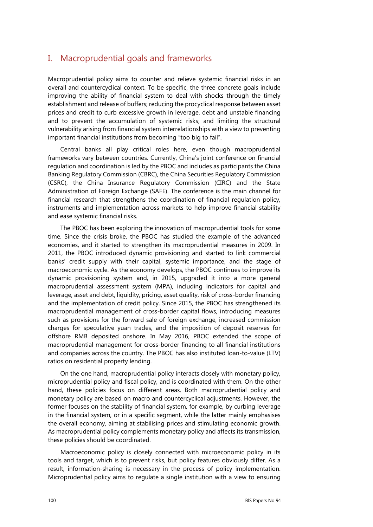#### I. Macroprudential goals and frameworks

Macroprudential policy aims to counter and relieve systemic financial risks in an overall and countercyclical context. To be specific, the three concrete goals include improving the ability of financial system to deal with shocks through the timely establishment and release of buffers; reducing the procyclical response between asset prices and credit to curb excessive growth in leverage, debt and unstable financing and to prevent the accumulation of systemic risks; and limiting the structural vulnerability arising from financial system interrelationships with a view to preventing important financial institutions from becoming "too big to fail".

Central banks all play critical roles here, even though macroprudential frameworks vary between countries. Currently, China's joint conference on financial regulation and coordination is led by the PBOC and includes as participants the China Banking Regulatory Commission (CBRC), the China Securities Regulatory Commission (CSRC), the China Insurance Regulatory Commission (CIRC) and the State Administration of Foreign Exchange (SAFE). The conference is the main channel for financial research that strengthens the coordination of financial regulation policy, instruments and implementation across markets to help improve financial stability and ease systemic financial risks.

The PBOC has been exploring the innovation of macroprudential tools for some time. Since the crisis broke, the PBOC has studied the example of the advanced economies, and it started to strengthen its macroprudential measures in 2009. In 2011, the PBOC introduced dynamic provisioning and started to link commercial banks' credit supply with their capital, systemic importance, and the stage of macroeconomic cycle. As the economy develops, the PBOC continues to improve its dynamic provisioning system and, in 2015, upgraded it into a more general macroprudential assessment system (MPA), including indicators for capital and leverage, asset and debt, liquidity, pricing, asset quality, risk of cross-border financing and the implementation of credit policy. Since 2015, the PBOC has strengthened its macroprudential management of cross-border capital flows, introducing measures such as provisions for the forward sale of foreign exchange, increased commission charges for speculative yuan trades, and the imposition of deposit reserves for offshore RMB deposited onshore. In May 2016, PBOC extended the scope of macroprudential management for cross-border financing to all financial institutions and companies across the country. The PBOC has also instituted loan-to-value (LTV) ratios on residential property lending.

On the one hand, macroprudential policy interacts closely with monetary policy, microprudential policy and fiscal policy, and is coordinated with them. On the other hand, these policies focus on different areas. Both macroprudential policy and monetary policy are based on macro and countercyclical adjustments. However, the former focuses on the stability of financial system, for example, by curbing leverage in the financial system, or in a specific segment, while the latter mainly emphasises the overall economy, aiming at stabilising prices and stimulating economic growth. As macroprudential policy complements monetary policy and affects its transmission, these policies should be coordinated.

Macroeconomic policy is closely connected with microeconomic policy in its tools and target, which is to prevent risks, but policy features obviously differ. As a result, information-sharing is necessary in the process of policy implementation. Microprudential policy aims to regulate a single institution with a view to ensuring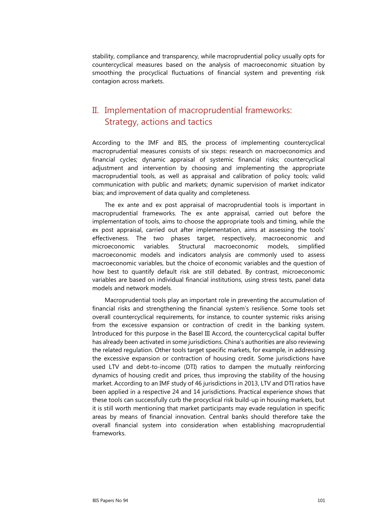stability, compliance and transparency, while macroprudential policy usually opts for countercyclical measures based on the analysis of macroeconomic situation by smoothing the procyclical fluctuations of financial system and preventing risk contagion across markets.

## II. Implementation of macroprudential frameworks: Strategy, actions and tactics

According to the IMF and BIS, the process of implementing countercyclical macroprudential measures consists of six steps: research on macroeconomics and financial cycles; dynamic appraisal of systemic financial risks; countercyclical adjustment and intervention by choosing and implementing the appropriate macroprudential tools, as well as appraisal and calibration of policy tools; valid communication with public and markets; dynamic supervision of market indicator bias; and improvement of data quality and completeness.

The ex ante and ex post appraisal of macroprudential tools is important in macroprudential frameworks. The ex ante appraisal, carried out before the implementation of tools, aims to choose the appropriate tools and timing, while the ex post appraisal, carried out after implementation, aims at assessing the tools' effectiveness. The two phases target, respectively, macroeconomic and microeconomic variables. Structural macroeconomic models, simplified macroeconomic models and indicators analysis are commonly used to assess macroeconomic variables, but the choice of economic variables and the question of how best to quantify default risk are still debated. By contrast, microeconomic variables are based on individual financial institutions, using stress tests, panel data models and network models.

Macroprudential tools play an important role in preventing the accumulation of financial risks and strengthening the financial system's resilience. Some tools set overall countercyclical requirements, for instance, to counter systemic risks arising from the excessive expansion or contraction of credit in the banking system. Introduced for this purpose in the Basel III Accord, the countercyclical capital buffer has already been activated in some jurisdictions. China's authorities are also reviewing the related regulation. Other tools target specific markets, for example, in addressing the excessive expansion or contraction of housing credit. Some jurisdictions have used LTV and debt-to-income (DTI) ratios to dampen the mutually reinforcing dynamics of housing credit and prices, thus improving the stability of the housing market. According to an IMF study of 46 jurisdictions in 2013, LTV and DTI ratios have been applied in a respective 24 and 14 jurisdictions. Practical experience shows that these tools can successfully curb the procyclical risk build-up in housing markets, but it is still worth mentioning that market participants may evade regulation in specific areas by means of financial innovation. Central banks should therefore take the overall financial system into consideration when establishing macroprudential frameworks.